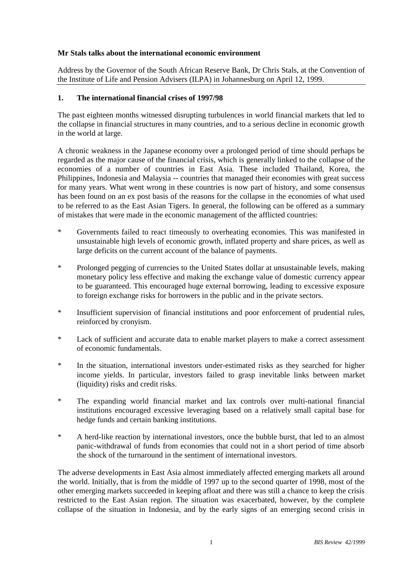## **Mr Stals talks about the international economic environment**

Address by the Governor of the South African Reserve Bank, Dr Chris Stals, at the Convention of the Institute of Life and Pension Advisers (ILPA) in Johannesburg on April 12, 1999.

#### **1. The international financial crises of 1997/98**

The past eighteen months witnessed disrupting turbulences in world financial markets that led to the collapse in financial structures in many countries, and to a serious decline in economic growth in the world at large.

A chronic weakness in the Japanese economy over a prolonged period of time should perhaps be regarded as the major cause of the financial crisis, which is generally linked to the collapse of the economies of a number of countries in East Asia. These included Thailand, Korea, the Philippines, Indonesia and Malaysia -- countries that managed their economies with great success for many years. What went wrong in these countries is now part of history, and some consensus has been found on an ex post basis of the reasons for the collapse in the economies of what used to be referred to as the East Asian Tigers. In general, the following can be offered as a summary of mistakes that were made in the economic management of the afflicted countries:

- \* Governments failed to react timeously to overheating economies. This was manifested in unsustainable high levels of economic growth, inflated property and share prices, as well as large deficits on the current account of the balance of payments.
- \* Prolonged pegging of currencies to the United States dollar at unsustainable levels, making monetary policy less effective and making the exchange value of domestic currency appear to be guaranteed. This encouraged huge external borrowing, leading to excessive exposure to foreign exchange risks for borrowers in the public and in the private sectors.
- \* Insufficient supervision of financial institutions and poor enforcement of prudential rules, reinforced by cronyism.
- \* Lack of sufficient and accurate data to enable market players to make a correct assessment of economic fundamentals.
- \* In the situation, international investors under-estimated risks as they searched for higher income yields. In particular, investors failed to grasp inevitable links between market (liquidity) risks and credit risks.
- \* The expanding world financial market and lax controls over multi-national financial institutions encouraged excessive leveraging based on a relatively small capital base for hedge funds and certain banking institutions.
- \* A herd-like reaction by international investors, once the bubble burst, that led to an almost panic-withdrawal of funds from economies that could not in a short period of time absorb the shock of the turnaround in the sentiment of international investors.

The adverse developments in East Asia almost immediately affected emerging markets all around the world. Initially, that is from the middle of 1997 up to the second quarter of 1998, most of the other emerging markets succeeded in keeping afloat and there was still a chance to keep the crisis restricted to the East Asian region. The situation was exacerbated, however, by the complete collapse of the situation in Indonesia, and by the early signs of an emerging second crisis in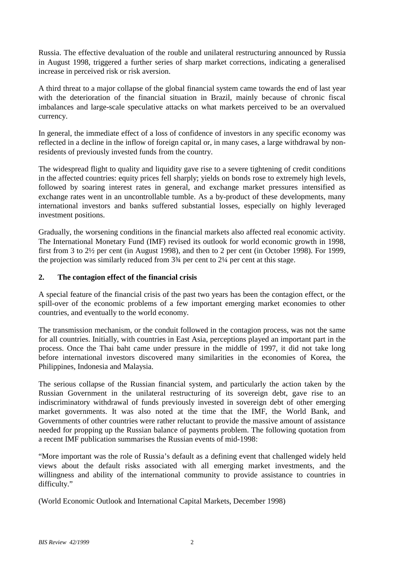Russia. The effective devaluation of the rouble and unilateral restructuring announced by Russia in August 1998, triggered a further series of sharp market corrections, indicating a generalised increase in perceived risk or risk aversion.

A third threat to a major collapse of the global financial system came towards the end of last year with the deterioration of the financial situation in Brazil, mainly because of chronic fiscal imbalances and large-scale speculative attacks on what markets perceived to be an overvalued currency.

In general, the immediate effect of a loss of confidence of investors in any specific economy was reflected in a decline in the inflow of foreign capital or, in many cases, a large withdrawal by nonresidents of previously invested funds from the country.

The widespread flight to quality and liquidity gave rise to a severe tightening of credit conditions in the affected countries: equity prices fell sharply; yields on bonds rose to extremely high levels, followed by soaring interest rates in general, and exchange market pressures intensified as exchange rates went in an uncontrollable tumble. As a by-product of these developments, many international investors and banks suffered substantial losses, especially on highly leveraged investment positions.

Gradually, the worsening conditions in the financial markets also affected real economic activity. The International Monetary Fund (IMF) revised its outlook for world economic growth in 1998, first from 3 to 2½ per cent (in August 1998), and then to 2 per cent (in October 1998). For 1999, the projection was similarly reduced from 3¾ per cent to 2¼ per cent at this stage.

## **2. The contagion effect of the financial crisis**

A special feature of the financial crisis of the past two years has been the contagion effect, or the spill-over of the economic problems of a few important emerging market economies to other countries, and eventually to the world economy.

The transmission mechanism, or the conduit followed in the contagion process, was not the same for all countries. Initially, with countries in East Asia, perceptions played an important part in the process. Once the Thai baht came under pressure in the middle of 1997, it did not take long before international investors discovered many similarities in the economies of Korea, the Philippines, Indonesia and Malaysia.

The serious collapse of the Russian financial system, and particularly the action taken by the Russian Government in the unilateral restructuring of its sovereign debt, gave rise to an indiscriminatory withdrawal of funds previously invested in sovereign debt of other emerging market governments. It was also noted at the time that the IMF, the World Bank, and Governments of other countries were rather reluctant to provide the massive amount of assistance needed for propping up the Russian balance of payments problem. The following quotation from a recent IMF publication summarises the Russian events of mid-1998:

"More important was the role of Russia's default as a defining event that challenged widely held views about the default risks associated with all emerging market investments, and the willingness and ability of the international community to provide assistance to countries in difficulty."

(World Economic Outlook and International Capital Markets, December 1998)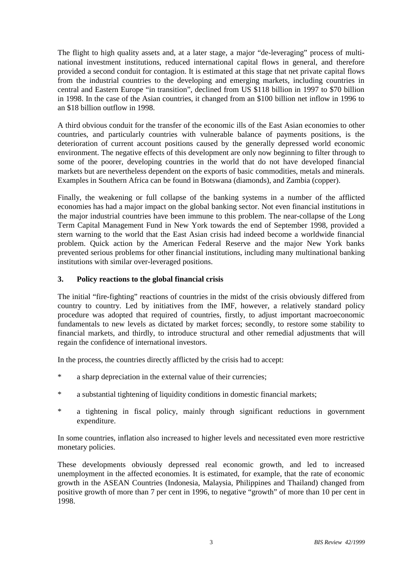The flight to high quality assets and, at a later stage, a major "de-leveraging" process of multinational investment institutions, reduced international capital flows in general, and therefore provided a second conduit for contagion. It is estimated at this stage that net private capital flows from the industrial countries to the developing and emerging markets, including countries in central and Eastern Europe "in transition", declined from US \$118 billion in 1997 to \$70 billion in 1998. In the case of the Asian countries, it changed from an \$100 billion net inflow in 1996 to an \$18 billion outflow in 1998.

A third obvious conduit for the transfer of the economic ills of the East Asian economies to other countries, and particularly countries with vulnerable balance of payments positions, is the deterioration of current account positions caused by the generally depressed world economic environment. The negative effects of this development are only now beginning to filter through to some of the poorer, developing countries in the world that do not have developed financial markets but are nevertheless dependent on the exports of basic commodities, metals and minerals. Examples in Southern Africa can be found in Botswana (diamonds), and Zambia (copper).

Finally, the weakening or full collapse of the banking systems in a number of the afflicted economies has had a major impact on the global banking sector. Not even financial institutions in the major industrial countries have been immune to this problem. The near-collapse of the Long Term Capital Management Fund in New York towards the end of September 1998, provided a stern warning to the world that the East Asian crisis had indeed become a worldwide financial problem. Quick action by the American Federal Reserve and the major New York banks prevented serious problems for other financial institutions, including many multinational banking institutions with similar over-leveraged positions.

# **3. Policy reactions to the global financial crisis**

The initial "fire-fighting" reactions of countries in the midst of the crisis obviously differed from country to country. Led by initiatives from the IMF, however, a relatively standard policy procedure was adopted that required of countries, firstly, to adjust important macroeconomic fundamentals to new levels as dictated by market forces; secondly, to restore some stability to financial markets, and thirdly, to introduce structural and other remedial adjustments that will regain the confidence of international investors.

In the process, the countries directly afflicted by the crisis had to accept:

- \* a sharp depreciation in the external value of their currencies;
- \* a substantial tightening of liquidity conditions in domestic financial markets;
- \* a tightening in fiscal policy, mainly through significant reductions in government expenditure.

In some countries, inflation also increased to higher levels and necessitated even more restrictive monetary policies.

These developments obviously depressed real economic growth, and led to increased unemployment in the affected economies. It is estimated, for example, that the rate of economic growth in the ASEAN Countries (Indonesia, Malaysia, Philippines and Thailand) changed from positive growth of more than 7 per cent in 1996, to negative "growth" of more than 10 per cent in 1998.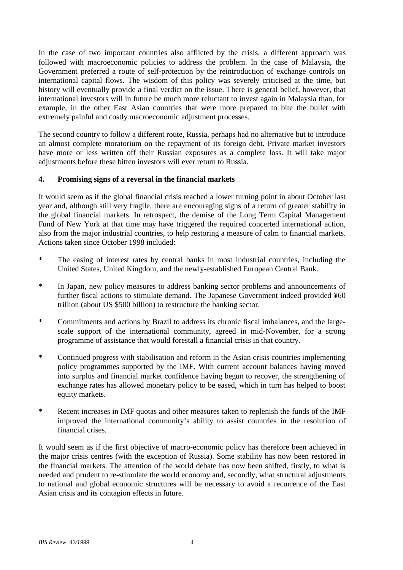In the case of two important countries also afflicted by the crisis, a different approach was followed with macroeconomic policies to address the problem. In the case of Malaysia, the Government preferred a route of self-protection by the reintroduction of exchange controls on international capital flows. The wisdom of this policy was severely criticised at the time, but history will eventually provide a final verdict on the issue. There is general belief, however, that international investors will in future be much more reluctant to invest again in Malaysia than, for example, in the other East Asian countries that were more prepared to bite the bullet with extremely painful and costly macroeconomic adjustment processes.

The second country to follow a different route, Russia, perhaps had no alternative but to introduce an almost complete moratorium on the repayment of its foreign debt. Private market investors have more or less written off their Russian exposures as a complete loss. It will take major adjustments before these bitten investors will ever return to Russia.

# **4. Promising signs of a reversal in the financial markets**

It would seem as if the global financial crisis reached a lower turning point in about October last year and, although still very fragile, there are encouraging signs of a return of greater stability in the global financial markets. In retrospect, the demise of the Long Term Capital Management Fund of New York at that time may have triggered the required concerted international action, also from the major industrial countries, to help restoring a measure of calm to financial markets. Actions taken since October 1998 included:

- \* The easing of interest rates by central banks in most industrial countries, including the United States, United Kingdom, and the newly-established European Central Bank.
- \* In Japan, new policy measures to address banking sector problems and announcements of further fiscal actions to stimulate demand. The Japanese Government indeed provided ¥60 trillion (about US \$500 billion) to restructure the banking sector.
- \* Commitments and actions by Brazil to address its chronic fiscal imbalances, and the largescale support of the international community, agreed in mid-November, for a strong programme of assistance that would forestall a financial crisis in that country.
- \* Continued progress with stabilisation and reform in the Asian crisis countries implementing policy programmes supported by the IMF. With current account balances having moved into surplus and financial market confidence having begun to recover, the strengthening of exchange rates has allowed monetary policy to be eased, which in turn has helped to boost equity markets.
- \* Recent increases in IMF quotas and other measures taken to replenish the funds of the IMF improved the international community's ability to assist countries in the resolution of financial crises.

It would seem as if the first objective of macro-economic policy has therefore been achieved in the major crisis centres (with the exception of Russia). Some stability has now been restored in the financial markets. The attention of the world debate has now been shifted, firstly, to what is needed and prudent to re-stimulate the world economy and, secondly, what structural adjustments to national and global economic structures will be necessary to avoid a recurrence of the East Asian crisis and its contagion effects in future.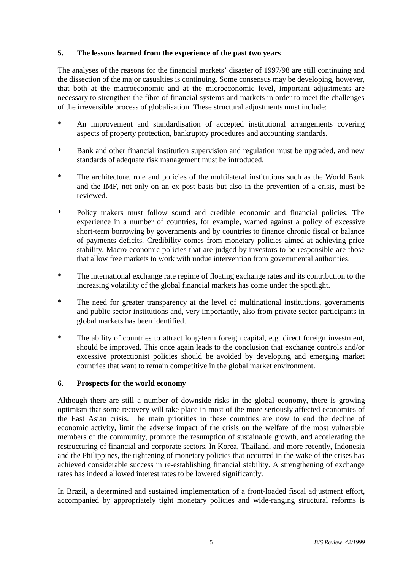## **5. The lessons learned from the experience of the past two years**

The analyses of the reasons for the financial markets' disaster of 1997/98 are still continuing and the dissection of the major casualties is continuing. Some consensus may be developing, however, that both at the macroeconomic and at the microeconomic level, important adjustments are necessary to strengthen the fibre of financial systems and markets in order to meet the challenges of the irreversible process of globalisation. These structural adjustments must include:

- \* An improvement and standardisation of accepted institutional arrangements covering aspects of property protection, bankruptcy procedures and accounting standards.
- \* Bank and other financial institution supervision and regulation must be upgraded, and new standards of adequate risk management must be introduced.
- \* The architecture, role and policies of the multilateral institutions such as the World Bank and the IMF, not only on an ex post basis but also in the prevention of a crisis, must be reviewed.
- \* Policy makers must follow sound and credible economic and financial policies. The experience in a number of countries, for example, warned against a policy of excessive short-term borrowing by governments and by countries to finance chronic fiscal or balance of payments deficits. Credibility comes from monetary policies aimed at achieving price stability. Macro-economic policies that are judged by investors to be responsible are those that allow free markets to work with undue intervention from governmental authorities.
- \* The international exchange rate regime of floating exchange rates and its contribution to the increasing volatility of the global financial markets has come under the spotlight.
- \* The need for greater transparency at the level of multinational institutions, governments and public sector institutions and, very importantly, also from private sector participants in global markets has been identified.
- \* The ability of countries to attract long-term foreign capital, e.g. direct foreign investment, should be improved. This once again leads to the conclusion that exchange controls and/or excessive protectionist policies should be avoided by developing and emerging market countries that want to remain competitive in the global market environment.

## **6. Prospects for the world economy**

Although there are still a number of downside risks in the global economy, there is growing optimism that some recovery will take place in most of the more seriously affected economies of the East Asian crisis. The main priorities in these countries are now to end the decline of economic activity, limit the adverse impact of the crisis on the welfare of the most vulnerable members of the community, promote the resumption of sustainable growth, and accelerating the restructuring of financial and corporate sectors. In Korea, Thailand, and more recently, Indonesia and the Philippines, the tightening of monetary policies that occurred in the wake of the crises has achieved considerable success in re-establishing financial stability. A strengthening of exchange rates has indeed allowed interest rates to be lowered significantly.

In Brazil, a determined and sustained implementation of a front-loaded fiscal adjustment effort, accompanied by appropriately tight monetary policies and wide-ranging structural reforms is